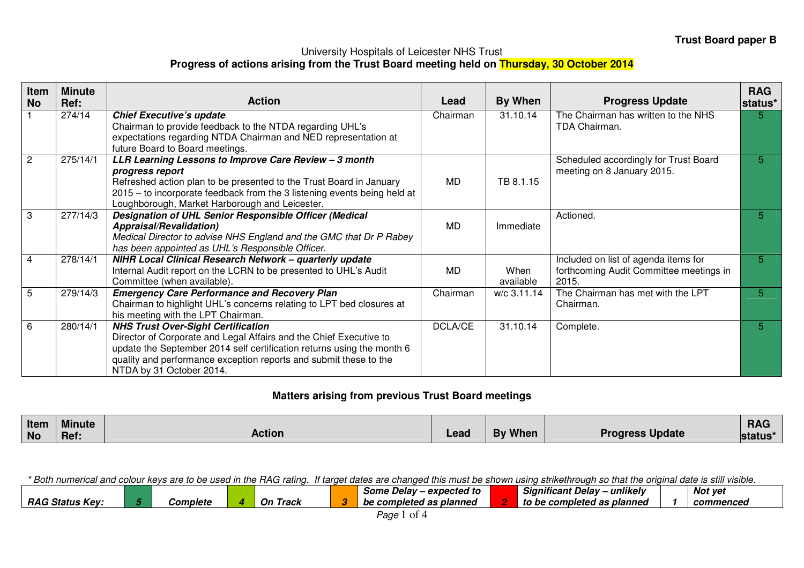## University Hospitals of Leicester NHS Trust **Progress of actions arising from the Trust Board meeting held on Thursday, 30 October 2014**

| Item<br><b>No</b> | <b>Minute</b><br>Ref: | <b>Action</b>                                                                                                                                                                                                                                                                              | Lead      | By When           | <b>Progress Update</b>                                                                   | <b>RAG</b><br>status* |
|-------------------|-----------------------|--------------------------------------------------------------------------------------------------------------------------------------------------------------------------------------------------------------------------------------------------------------------------------------------|-----------|-------------------|------------------------------------------------------------------------------------------|-----------------------|
|                   | 274/14                | <b>Chief Executive's update</b><br>Chairman to provide feedback to the NTDA regarding UHL's<br>expectations regarding NTDA Chairman and NED representation at<br>future Board to Board meetings.                                                                                           | Chairman  | 31.10.14          | The Chairman has written to the NHS<br>TDA Chairman.                                     | 5                     |
| $\overline{2}$    | 275/14/1              | LLR Learning Lessons to Improve Care Review - 3 month<br>progress report<br>Refreshed action plan to be presented to the Trust Board in January<br>2015 – to incorporate feedback from the 3 listening events being held at<br>Loughborough, Market Harborough and Leicester.              | <b>MD</b> | TB 8.1.15         | Scheduled accordingly for Trust Board<br>meeting on 8 January 2015.                      | $\sqrt{5}$            |
| $\overline{3}$    | 277/14/3              | Designation of UHL Senior Responsible Officer (Medical<br><b>Appraisal/Revalidation)</b><br>Medical Director to advise NHS England and the GMC that Dr P Rabey<br>has been appointed as UHL's Responsible Officer.                                                                         | <b>MD</b> | Immediate         | Actioned.                                                                                | 5                     |
| $\overline{4}$    | 278/14/1              | NIHR Local Clinical Research Network - quarterly update<br>Internal Audit report on the LCRN to be presented to UHL's Audit<br>Committee (when available).                                                                                                                                 | <b>MD</b> | When<br>available | Included on list of agenda items for<br>forthcoming Audit Committee meetings in<br>2015. | 5                     |
| $\overline{5}$    | 279/14/3              | <b>Emergency Care Performance and Recovery Plan</b><br>Chairman to highlight UHL's concerns relating to LPT bed closures at<br>his meeting with the LPT Chairman.                                                                                                                          | Chairman  | w/c 3.11.14       | The Chairman has met with the LPT<br>Chairman.                                           | 5                     |
| 6                 | 280/14/1              | <b>NHS Trust Over-Sight Certification</b><br>Director of Corporate and Legal Affairs and the Chief Executive to<br>update the September 2014 self certification returns using the month 6<br>quality and performance exception reports and submit these to the<br>NTDA by 31 October 2014. | DCLA/CE   | 31.10.14          | Complete.                                                                                | 5                     |

## **Matters arising from previous Trust Board meetings**

| Item      | <b>Minute</b> |        |      |                |                        | <b>RAG</b> |
|-----------|---------------|--------|------|----------------|------------------------|------------|
| <b>No</b> | Ref.          | Action | Lead | <b>By When</b> | <b>Progress Update</b> | status*    |

\* Both numerical and colour keys are to be used in the RAG rating. If target dates are changed this must be shown using strikethrough so that the original date is still visible.

|                                                      |                 |              | expected to<br>Some<br>Delav         | ---<br><b>Significant</b><br>unlikelv -<br>Delav | Not yet   |
|------------------------------------------------------|-----------------|--------------|--------------------------------------|--------------------------------------------------|-----------|
| <b>RAG</b><br>$\ddot{\phantom{m}}$<br>Kev:<br>Status | <i>Complete</i> | On.<br>Track | ' as planned<br>` comple.<br>be<br>. | planned<br>: completed as<br>to be               | commenced |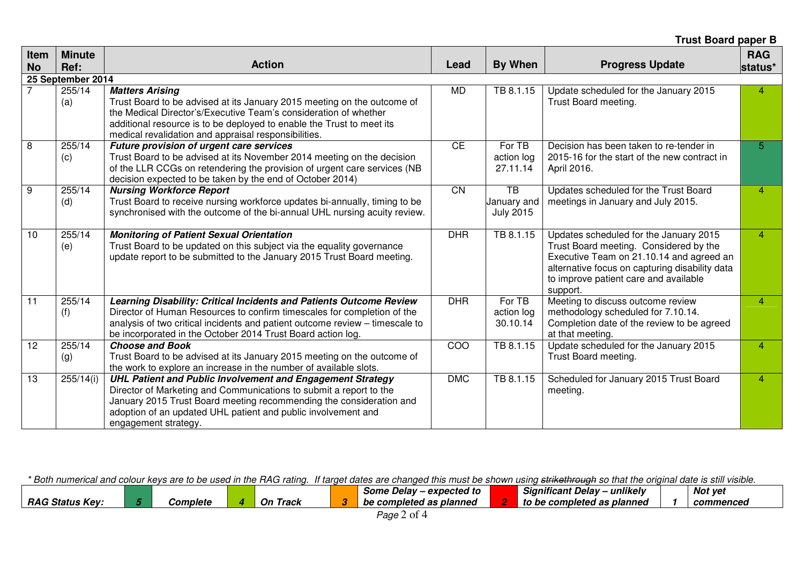**Trust Board paper B** 

| Item<br><b>No</b> | <b>Minute</b><br>Ref:              | <b>Action</b>                                                                                                                                                                                                                                                                                           | Lead       | By When                                            | <b>Progress Update</b>                                                                                                                                                                                                              | <b>RAG</b><br>status* |
|-------------------|------------------------------------|---------------------------------------------------------------------------------------------------------------------------------------------------------------------------------------------------------------------------------------------------------------------------------------------------------|------------|----------------------------------------------------|-------------------------------------------------------------------------------------------------------------------------------------------------------------------------------------------------------------------------------------|-----------------------|
|                   | 25 September 2014<br>255/14<br>(a) | <b>Matters Arising</b><br>Trust Board to be advised at its January 2015 meeting on the outcome of<br>the Medical Director's/Executive Team's consideration of whether<br>additional resource is to be deployed to enable the Trust to meet its<br>medical revalidation and appraisal responsibilities.  | MD         | TB 8.1.15                                          | Update scheduled for the January 2015<br>Trust Board meeting.                                                                                                                                                                       | 4                     |
| 8                 | 255/14<br>(c)                      | Future provision of urgent care services<br>Trust Board to be advised at its November 2014 meeting on the decision<br>of the LLR CCGs on retendering the provision of urgent care services (NB<br>decision expected to be taken by the end of October 2014)                                             | <b>CE</b>  | For TB<br>action log<br>27.11.14                   | Decision has been taken to re-tender in<br>2015-16 for the start of the new contract in<br>April 2016.                                                                                                                              | 5                     |
| $\overline{9}$    | 255/14<br>(d)                      | <b>Nursing Workforce Report</b><br>Trust Board to receive nursing workforce updates bi-annually, timing to be<br>synchronised with the outcome of the bi-annual UHL nursing acuity review.                                                                                                              | <b>CN</b>  | $\overline{TB}$<br>January and<br><b>July 2015</b> | Updates scheduled for the Trust Board<br>meetings in January and July 2015.                                                                                                                                                         | $\overline{4}$        |
| 10                | 255/14<br>(e)                      | <b>Monitoring of Patient Sexual Orientation</b><br>Trust Board to be updated on this subject via the equality governance<br>update report to be submitted to the January 2015 Trust Board meeting.                                                                                                      | <b>DHR</b> | TB 8.1.15                                          | Updates scheduled for the January 2015<br>Trust Board meeting. Considered by the<br>Executive Team on 21.10.14 and agreed an<br>alternative focus on capturing disability data<br>to improve patient care and available<br>support. | 4                     |
| $\overline{11}$   | 255/14<br>(f)                      | Learning Disability: Critical Incidents and Patients Outcome Review<br>Director of Human Resources to confirm timescales for completion of the<br>analysis of two critical incidents and patient outcome review - timescale to<br>be incorporated in the October 2014 Trust Board action log.           | <b>DHR</b> | For TB<br>action log<br>30.10.14                   | Meeting to discuss outcome review<br>methodology scheduled for 7.10.14.<br>Completion date of the review to be agreed<br>at that meeting.                                                                                           | 4                     |
| $\overline{12}$   | 255/14<br>(g)                      | <b>Choose and Book</b><br>Trust Board to be advised at its January 2015 meeting on the outcome of<br>the work to explore an increase in the number of available slots.                                                                                                                                  | COO        | TB 8.1.15                                          | Update scheduled for the January 2015<br>Trust Board meeting.                                                                                                                                                                       | 4                     |
| 13                | 255/14(i)                          | <b>UHL Patient and Public Involvement and Engagement Strategy</b><br>Director of Marketing and Communications to submit a report to the<br>January 2015 Trust Board meeting recommending the consideration and<br>adoption of an updated UHL patient and public involvement and<br>engagement strategy. | <b>DMC</b> | TB 8.1.15                                          | Scheduled for January 2015 Trust Board<br>meeting.                                                                                                                                                                                  | 4                     |

\* Both numerical and colour keys are to be used in the RAG rating. If target dates are changed this must be shown using strikethrough so that the original date is still visible.

|                                   |  |                        |  |                    |     | – expected to<br>Jelav<br>Some |  | ---<br>$\rightarrow$<br>.<br><b>unlikely</b><br>Significant Delav |  | Not vel   |  |
|-----------------------------------|--|------------------------|--|--------------------|-----|--------------------------------|--|-------------------------------------------------------------------|--|-----------|--|
| <b>RAG</b><br>. Status ʻ<br>- Kev |  | <i><b>Complete</b></i> |  | On<br><b>Track</b> | . . | as planned<br>ompleted<br>nc   |  | completed as planned<br>to be                                     |  | commenced |  |
|                                   |  |                        |  |                    |     |                                |  |                                                                   |  |           |  |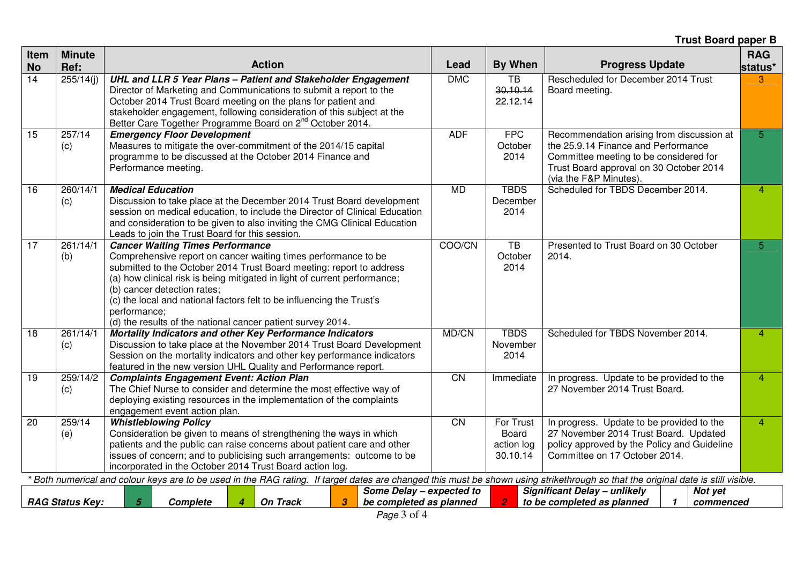**Trust Board paper B** 

| Item<br><b>No</b> | <b>Minute</b><br>Ref:  | <b>Action</b>                                                                                                                                                                                                                                                                                                                                                                                                                                         | Lead            | By When                                      | <b>Progress Update</b>                                                                                                                                                                          | <b>RAG</b><br>status* |
|-------------------|------------------------|-------------------------------------------------------------------------------------------------------------------------------------------------------------------------------------------------------------------------------------------------------------------------------------------------------------------------------------------------------------------------------------------------------------------------------------------------------|-----------------|----------------------------------------------|-------------------------------------------------------------------------------------------------------------------------------------------------------------------------------------------------|-----------------------|
| $\overline{14}$   | 255/14(i)              | UHL and LLR 5 Year Plans - Patient and Stakeholder Engagement<br>Director of Marketing and Communications to submit a report to the<br>October 2014 Trust Board meeting on the plans for patient and<br>stakeholder engagement, following consideration of this subject at the<br>Better Care Together Programme Board on 2 <sup>nd</sup> October 2014.                                                                                               | <b>DMC</b>      | $\overline{TB}$<br>30.10.14<br>22.12.14      | Rescheduled for December 2014 Trust<br>Board meeting.                                                                                                                                           | 3                     |
| 15                | 257/14<br>(c)          | <b>Emergency Floor Development</b><br>Measures to mitigate the over-commitment of the 2014/15 capital<br>programme to be discussed at the October 2014 Finance and<br>Performance meeting.                                                                                                                                                                                                                                                            | <b>ADF</b>      | <b>FPC</b><br>October<br>2014                | Recommendation arising from discussion at<br>the 25.9.14 Finance and Performance<br>Committee meeting to be considered for<br>Trust Board approval on 30 October 2014<br>(via the F&P Minutes). | 5 <sup>5</sup>        |
| 16                | 260/14/1<br>(c)        | <b>Medical Education</b><br>Discussion to take place at the December 2014 Trust Board development<br>session on medical education, to include the Director of Clinical Education<br>and consideration to be given to also inviting the CMG Clinical Education<br>Leads to join the Trust Board for this session.                                                                                                                                      | <b>MD</b>       | <b>TBDS</b><br>December<br>2014              | Scheduled for TBDS December 2014.                                                                                                                                                               | $\overline{4}$        |
| 17                | 261/14/1<br>(b)        | <b>Cancer Waiting Times Performance</b><br>Comprehensive report on cancer waiting times performance to be<br>submitted to the October 2014 Trust Board meeting: report to address<br>(a) how clinical risk is being mitigated in light of current performance;<br>(b) cancer detection rates;<br>(c) the local and national factors felt to be influencing the Trust's<br>performance;<br>(d) the results of the national cancer patient survey 2014. | COO/CN          | $\overline{TB}$<br>October<br>2014           | Presented to Trust Board on 30 October<br>2014.                                                                                                                                                 | 5                     |
| 18                | 261/14/1<br>(c)        | Mortality Indicators and other Key Performance Indicators<br>Discussion to take place at the November 2014 Trust Board Development<br>Session on the mortality indicators and other key performance indicators<br>featured in the new version UHL Quality and Performance report.                                                                                                                                                                     | MD/CN           | <b>TBDS</b><br>November<br>2014              | Scheduled for TBDS November 2014.                                                                                                                                                               | $\overline{4}$        |
| $\overline{19}$   | 259/14/2<br>(c)        | <b>Complaints Engagement Event: Action Plan</b><br>The Chief Nurse to consider and determine the most effective way of<br>deploying existing resources in the implementation of the complaints<br>engagement event action plan.                                                                                                                                                                                                                       | $\overline{CN}$ | Immediate                                    | In progress. Update to be provided to the<br>27 November 2014 Trust Board.                                                                                                                      | $\overline{4}$        |
| 20                | 259/14<br>(e)          | <b>Whistleblowing Policy</b><br>Consideration be given to means of strengthening the ways in which<br>patients and the public can raise concerns about patient care and other<br>issues of concern; and to publicising such arrangements: outcome to be<br>incorporated in the October 2014 Trust Board action log.                                                                                                                                   | <b>CN</b>       | For Trust<br>Board<br>action log<br>30.10.14 | In progress. Update to be provided to the<br>27 November 2014 Trust Board. Updated<br>policy approved by the Policy and Guideline<br>Committee on 17 October 2014.                              | $\overline{4}$        |
|                   |                        | Both numerical and colour keys are to be used in the RAG rating. If target dates are changed this must be shown using strikethrough so that the original date is still visible.                                                                                                                                                                                                                                                                       |                 |                                              |                                                                                                                                                                                                 |                       |
|                   | <b>RAG Status Key:</b> | Some Delay - expected to<br>5<br>Complete<br><b>On Track</b><br>3<br>be completed as planned                                                                                                                                                                                                                                                                                                                                                          |                 | $\overline{2}$                               | Significant Delay - unlikely<br>Not yet<br>to be completed as planned<br>commenced<br>$\mathbf{1}$                                                                                              |                       |